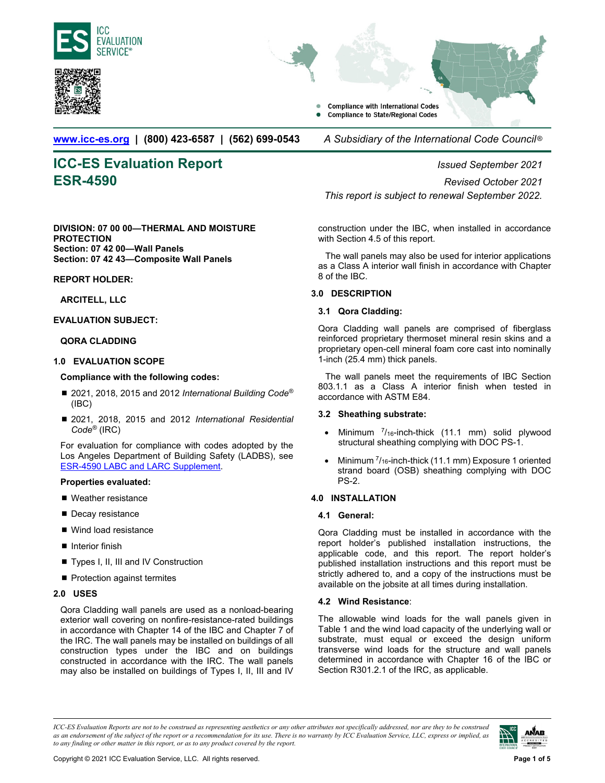<span id="page-0-0"></span>



**Compliance with International Codes Compliance to State/Regional Codes** 

**www.icc-es.org | (800) 423-6587 | (562) 699-0543** *A Subsidiary of the International Code Council* ®

# **ICC-ES Evaluation Report** *Issued September 2021*

#### **DIVISION: 07 00 00—THERMAL AND MOISTURE PROTECTION Section: 07 42 00—Wall Panels Section: 07 42 43—Composite Wall Panels**

### **REPORT HOLDER:**

### **ARCITELL, LLC**

### **EVALUATION SUBJECT:**

### **QORA CLADDING**

### **1.0 EVALUATION SCOPE**

#### **Compliance with the following codes:**

- 2021, 2018, 2015 and 2012 *International Building Code*<sup>®</sup> (IBC)
- 2021, 2018, 2015 and 2012 *International Residential Code®* (IRC)

For evaluation for compliance with codes adopted by the Los Angeles Department of Building Safety (LADBS), see [ESR-4590 LABC and LARC Supplement.](#page-2-0) 

#### **Properties evaluated:**

- Weather resistance
- Decay resistance
- Wind load resistance
- Interior finish
- Types I, II, III and IV Construction
- Protection against termites

#### **2.0 USES**

Qora Cladding wall panels are used as a nonload-bearing exterior wall covering on nonfire-resistance-rated buildings in accordance with Chapter 14 of the IBC and Chapter 7 of the IRC. The wall panels may be installed on buildings of all construction types under the IBC and on buildings constructed in accordance with the IRC. The wall panels may also be installed on buildings of Types I, II, III and IV

**ESR-4590** *Revised October 2021 This report is subject to renewal September 2022.*

> construction under the IBC, when installed in accordance with Section 4.5 of this report.

> The wall panels may also be used for interior applications as a Class A interior wall finish in accordance with Chapter 8 of the IBC.

#### **3.0 DESCRIPTION**

#### **3.1 Qora Cladding:**

Qora Cladding wall panels are comprised of fiberglass reinforced proprietary thermoset mineral resin skins and a proprietary open-cell mineral foam core cast into nominally 1-inch (25.4 mm) thick panels.

The wall panels meet the requirements of IBC Section 803.1.1 as a Class A interior finish when tested in accordance with ASTM E84.

### **3.2 Sheathing substrate:**

- Minimum  $^{7}/_{16}$ -inch-thick (11.1 mm) solid plywood structural sheathing complying with DOC PS-1.
- Minimum  $\frac{7}{16}$ -inch-thick (11.1 mm) Exposure 1 oriented strand board (OSB) sheathing complying with DOC PS-2.

### **4.0 INSTALLATION**

#### **4.1 General:**

Qora Cladding must be installed in accordance with the report holder's published installation instructions, the applicable code, and this report. The report holder's published installation instructions and this report must be strictly adhered to, and a copy of the instructions must be available on the jobsite at all times during installation.

### **4.2 Wind Resistance**:

The allowable wind loads for the wall panels given in Table 1 and the wind load capacity of the underlying wall or substrate, must equal or exceed the design uniform transverse wind loads for the structure and wall panels determined in accordance with Chapter 16 of the IBC or Section R301.2.1 of the IRC, as applicable.

*ICC-ES Evaluation Reports are not to be construed as representing aesthetics or any other attributes not specifically addressed, nor are they to be construed as an endorsement of the subject of the report or a recommendation for its use. There is no warranty by ICC Evaluation Service, LLC, express or implied, as to any finding or other matter in this report, or as to any product covered by the report.*

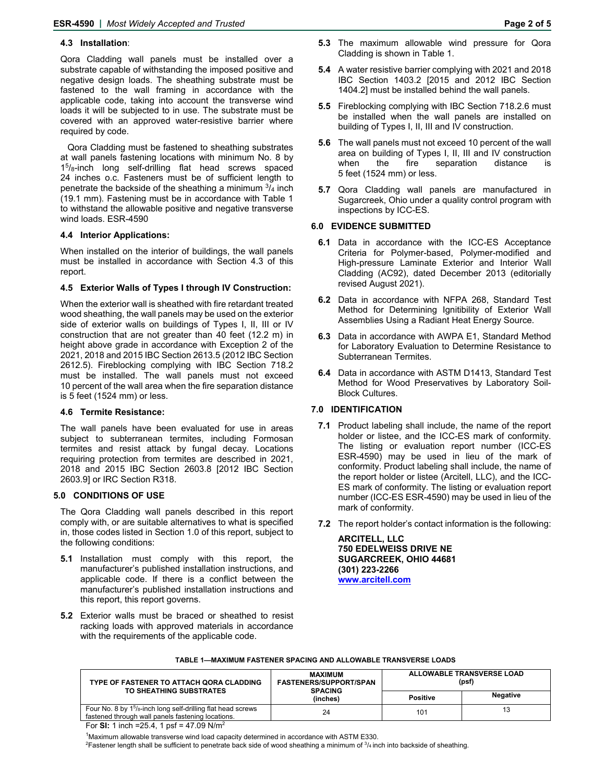#### **4.3 Installation**:

Qora Cladding wall panels must be installed over a substrate capable of withstanding the imposed positive and negative design loads. The sheathing substrate must be fastened to the wall framing in accordance with the applicable code, taking into account the transverse wind loads it will be subjected to in use. The substrate must be covered with an approved water-resistive barrier where required by code.

Qora Cladding must be fastened to sheathing substrates at wall panels fastening locations with minimum No. 8 by 15/8-inch long self-drilling flat head screws spaced 24 inches o.c. Fasteners must be of sufficient length to penetrate the backside of the sheathing a minimum  $\frac{3}{4}$  inch (19.1 mm). Fastening must be in accordance with Table 1 to withstand the allowable positive and negative transverse wind loads. ESR-4590

#### **4.4 Interior Applications:**

When installed on the interior of buildings, the wall panels must be installed in accordance with Section 4.3 of this report.

#### **4.5 Exterior Walls of Types I through IV Construction:**

When the exterior wall is sheathed with fire retardant treated wood sheathing, the wall panels may be used on the exterior side of exterior walls on buildings of Types I, II, III or IV construction that are not greater than 40 feet (12.2 m) in height above grade in accordance with Exception 2 of the 2021, 2018 and 2015 IBC Section 2613.5 (2012 IBC Section 2612.5). Fireblocking complying with IBC Section 718.2 must be installed. The wall panels must not exceed 10 percent of the wall area when the fire separation distance is 5 feet (1524 mm) or less.

#### **4.6 Termite Resistance:**

The wall panels have been evaluated for use in areas subject to subterranean termites, including Formosan termites and resist attack by fungal decay. Locations requiring protection from termites are described in 2021, 2018 and 2015 IBC Section 2603.8 [2012 IBC Section 2603.9] or IRC Section R318.

#### **5.0 CONDITIONS OF USE**

The Qora Cladding wall panels described in this report comply with, or are suitable alternatives to what is specified in, those codes listed in Section 1.0 of this report, subject to the following conditions:

- **5.1** Installation must comply with this report, the manufacturer's published installation instructions, and applicable code. If there is a conflict between the manufacturer's published installation instructions and this report, this report governs.
- **5.2** Exterior walls must be braced or sheathed to resist racking loads with approved materials in accordance with the requirements of the applicable code.
- **5.3** The maximum allowable wind pressure for Qora Cladding is shown in Table 1.
- **5.4** A water resistive barrier complying with 2021 and 2018 IBC Section 1403.2 [2015 and 2012 IBC Section 1404.2] must be installed behind the wall panels.
- **5.5** Fireblocking complying with IBC Section 718.2.6 must be installed when the wall panels are installed on building of Types I, II, III and IV construction.
- **5.6** The wall panels must not exceed 10 percent of the wall area on building of Types I, II, III and IV construction when the fire separation distance is 5 feet (1524 mm) or less.
- **5.7** Qora Cladding wall panels are manufactured in Sugarcreek, Ohio under a quality control program with inspections by ICC-ES.

#### **6.0 EVIDENCE SUBMITTED**

- **6.1** Data in accordance with the ICC-ES Acceptance Criteria for Polymer-based, Polymer-modified and High-pressure Laminate Exterior and Interior Wall Cladding (AC92), dated December 2013 (editorially revised August 2021).
- **6.2** Data in accordance with NFPA 268, Standard Test Method for Determining Ignitibility of Exterior Wall Assemblies Using a Radiant Heat Energy Source.
- **6.3** Data in accordance with AWPA E1, Standard Method for Laboratory Evaluation to Determine Resistance to Subterranean Termites.
- **6.4** Data in accordance with ASTM D1413, Standard Test Method for Wood Preservatives by Laboratory Soil-Block Cultures.

#### **7.0 IDENTIFICATION**

- **7.1** Product labeling shall include, the name of the report holder or listee, and the ICC-ES mark of conformity. The listing or evaluation report number (ICC-ES ESR-4590) may be used in lieu of the mark of conformity. Product labeling shall include, the name of the report holder or listee (Arcitell, LLC), and the ICC-ES mark of conformity. The listing or evaluation report number (ICC-ES ESR-4590) may be used in lieu of the mark of conformity.
- **7.2** The report holder's contact information is the following:

**ARCITELL, LLC 750 EDELWEISS DRIVE NE SUGARCREEK, OHIO 44681 (301) 223-2266 www.arcitell.com** 

| <b>MAXIMUM</b><br><b>FASTENERS/SUPPORT/SPAN</b><br><b>SPACING</b><br>(inches) | ALLOWABLE TRANSVERSE LOAD<br>(psf) |                 |
|-------------------------------------------------------------------------------|------------------------------------|-----------------|
|                                                                               | <b>Positive</b>                    | <b>Negative</b> |
| 24                                                                            | 101                                | 13              |
|                                                                               |                                    |                 |

#### **TABLE 1—MAXIMUM FASTENER SPACING AND ALLOWABLE TRANSVERSE LOADS**

For **SI:** 1 inch =25.4, 1 psf = 47.09 N/m2

 $^1$ Maximum allowable transverse wind load capacity determined in accordance with ASTM E330.

<sup>1</sup>Maximum allowable transverse wind load capacity determined in accordance with ASTM E330.<br><sup>2</sup>Fastener length shall be sufficient to penetrate back side of wood sheathing a minimum of ¾ inch into backside of sheathing.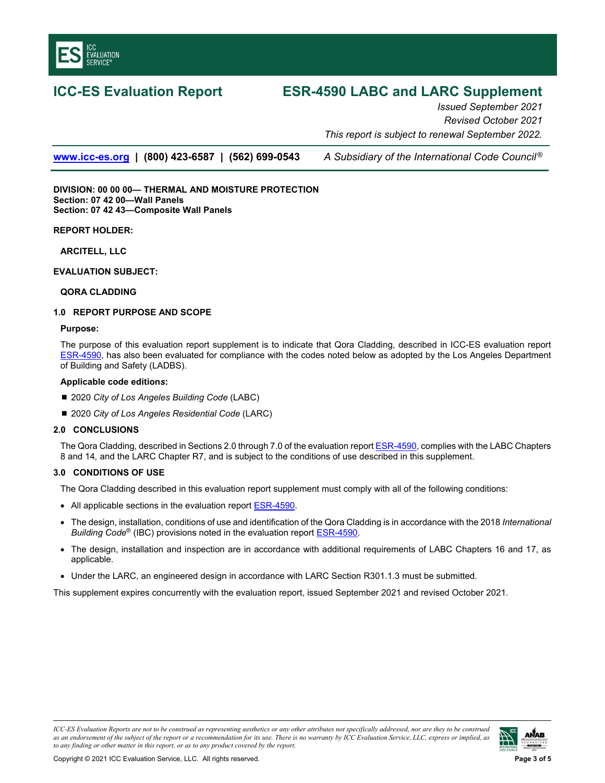<span id="page-2-0"></span>

# **ICC-ES Evaluation Report ESR-4590 LABC and LARC Supplement**

*Issued September 2021 Revised October 2021 This report is subject to renewal September 2022.* 

**www.icc-es.org | (800) 423-6587 | (562) 699-0543** *A Subsidiary of the International Code Council ®*

**DIVISION: 00 00 00— THERMAL AND MOISTURE PROTECTION Section: 07 42 00—Wall Panels Section: 07 42 43—Composite Wall Panels** 

**REPORT HOLDER:** 

**ARCITELL, LLC** 

**EVALUATION SUBJECT:** 

#### **QORA CLADDING**

#### **1.0 REPORT PURPOSE AND SCOPE**

#### **Purpose:**

The purpose of this evaluation report supplement is to indicate that Qora Cladding, described in ICC-ES evaluation report [ESR-4590,](#page-0-0) has also been evaluated for compliance with the codes noted below as adopted by the Los Angeles Department of Building and Safety (LADBS).

#### **Applicable code edition***s***:**

- 2020 *City of Los Angeles Building Code* (LABC)
- 2020 *City of Los Angeles Residential Code* (LARC)

#### **2.0 CONCLUSIONS**

The Qora Cladding, described in Sections 2.0 through 7.0 of the evaluation report [ESR-4590,](#page-0-0) complies with the LABC Chapters 8 and 14*,* and the LARC Chapter R7, and is subject to the conditions of use described in this supplement.

### **3.0 CONDITIONS OF USE**

The Qora Cladding described in this evaluation report supplement must comply with all of the following conditions:

- All applicable sections in the evaluation report **ESR-4590**.
- The design, installation, conditions of use and identification of the Qora Cladding is in accordance with the 2018 *International Building Code*® (IBC) provisions noted in the evaluation report [ESR-4590.](#page-0-0)
- The design, installation and inspection are in accordance with additional requirements of LABC Chapters 16 and 17, as applicable.
- Under the LARC, an engineered design in accordance with LARC Section R301.1.3 must be submitted.

This supplement expires concurrently with the evaluation report, issued September 2021 and revised October 2021.

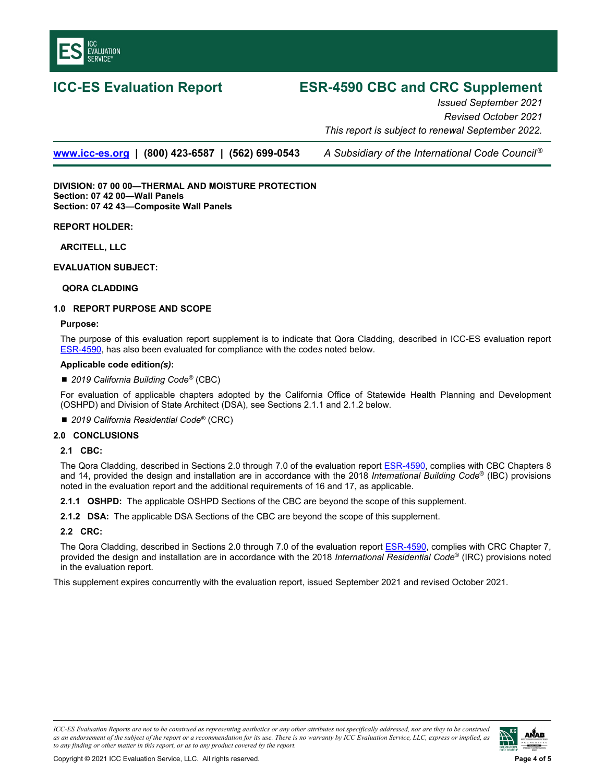

# **ICC-ES Evaluation Report ESR-4590 CBC and CRC Supplement**

*Issued September 2021 Revised October 2021 This report is subject to renewal September 2022.* 

**www.icc-es.org | (800) 423-6587 | (562) 699-0543** *A Subsidiary of the International Code Council ®*

**DIVISION: 07 00 00—THERMAL AND MOISTURE PROTECTION Section: 07 42 00—Wall Panels Section: 07 42 43—Composite Wall Panels** 

**REPORT HOLDER:** 

**ARCITELL, LLC** 

**EVALUATION SUBJECT:** 

#### **QORA CLADDING**

### **1.0 REPORT PURPOSE AND SCOPE**

#### **Purpose:**

The purpose of this evaluation report supplement is to indicate that Qora Cladding, described in ICC-ES evaluation report [ESR-4590,](#page-0-0) has also been evaluated for compliance with the code*s* noted below.

#### **Applicable code edition***(s)***:**

■ 2019 California Building Code<sup>®</sup> (CBC)

For evaluation of applicable chapters adopted by the California Office of Statewide Health Planning and Development (OSHPD) and Division of State Architect (DSA), see Sections 2.1.1 and 2.1.2 below.

■ 2019 California Residential Code<sup>®</sup> (CRC)

### **2.0 CONCLUSIONS**

#### **2.1 CBC:**

The Qora Cladding, described in Sections 2.0 through 7.0 of the evaluation report **ESR-4590**, complies with CBC Chapters 8 and 14, provided the design and installation are in accordance with the 2018 *International Building Code*® (IBC) provisions noted in the evaluation report and the additional requirements of 16 and 17, as applicable.

**2.1.1 OSHPD:** The applicable OSHPD Sections of the CBC are beyond the scope of this supplement.

**2.1.2 DSA:** The applicable DSA Sections of the CBC are beyond the scope of this supplement.

### **2.2 CRC:**

The Qora Cladding, described in Sections 2.0 through 7.0 of the evaluation report **ESR-4590**, complies with CRC Chapter 7, provided the design and installation are in accordance with the 2018 *International Residential Code*® (IRC) provisions noted in the evaluation report.

This supplement expires concurrently with the evaluation report, issued September 2021 and revised October 2021.